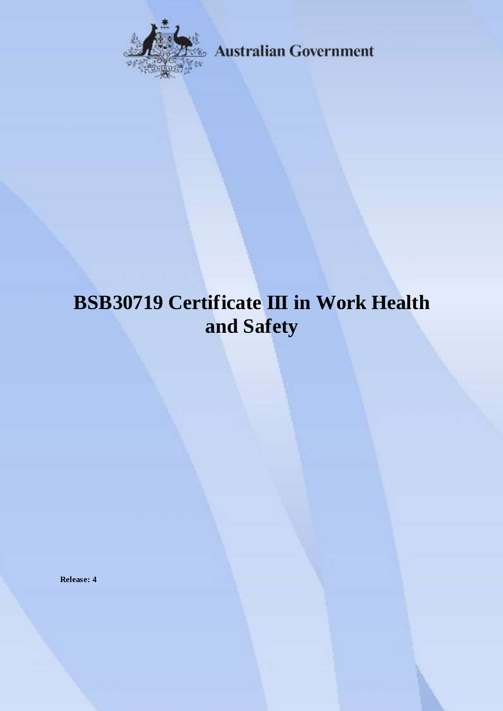

**Australian Government** 

# **BSB30719 Certificate III in Work Health and Safety**

**Release: 4**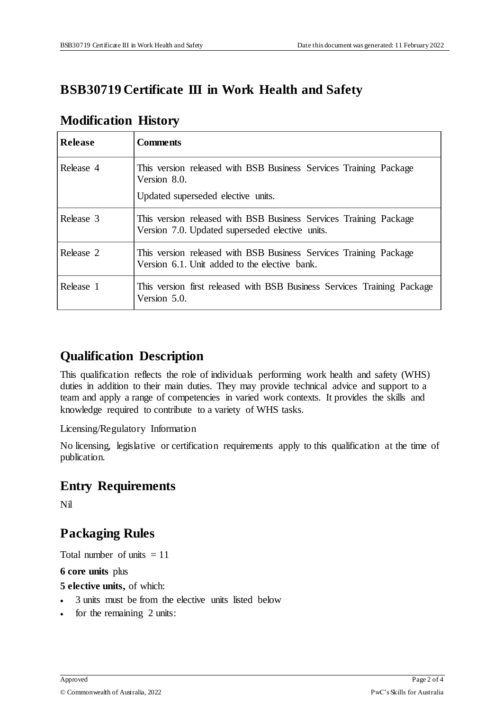## **BSB30719 Certificate III in Work Health and Safety**

| <b>Release</b> | <b>Comments</b>                                                                                                         |
|----------------|-------------------------------------------------------------------------------------------------------------------------|
| Release 4      | This version released with BSB Business Services Training Package<br>Version 8.0.<br>Updated superseded elective units. |
| Release 3      | This version released with BSB Business Services Training Package<br>Version 7.0. Updated superseded elective units.    |
| Release 2      | This version released with BSB Business Services Training Package<br>Version 6.1. Unit added to the elective bank.      |
| Release 1      | This version first released with BSB Business Services Training Package<br>Version 5.0.                                 |

#### **Modification History**

## **Qualification Description**

This qualification reflects the role of individuals performing work health and safety (WHS) duties in addition to their main duties. They may provide technical advice and support to a team and apply a range of competencies in varied work contexts. It provides the skills and knowledge required to contribute to a variety of WHS tasks.

Licensing/Regulatory Information

No licensing, legislative or certification requirements apply to this qualification at the time of publication.

## **Entry Requirements**

Nil

## **Packaging Rules**

Total number of units  $= 11$ 

**6 core units** plus

**5 elective units,** of which:

- 3 units must be from the elective units listed below
- for the remaining 2 units: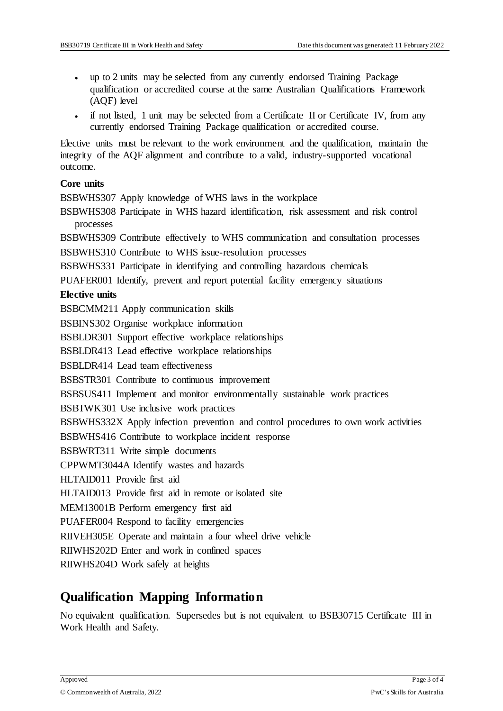- up to 2 units may be selected from any currently endorsed Training Package qualification or accredited course at the same Australian Qualifications Framework (AQF) level
- if not listed, 1 unit may be selected from a Certificate II or Certificate IV, from any currently endorsed Training Package qualification or accredited course.

Elective units must be relevant to the work environment and the qualification, maintain the integrity of the AQF alignment and contribute to a valid, industry-supported vocational outcome.

#### **Core units**

BSBWHS307 Apply knowledge of WHS laws in the workplace

BSBWHS308 Participate in WHS hazard identification, risk assessment and risk control processes

BSBWHS309 Contribute effectively to WHS communication and consultation processes

BSBWHS310 Contribute to WHS issue-resolution processes

BSBWHS331 Participate in identifying and controlling hazardous chemicals

PUAFER001 Identify, prevent and report potential facility emergency situations

#### **Elective units**

BSBCMM211 Apply communication skills

BSBINS302 Organise workplace information

BSBLDR301 Support effective workplace relationships

BSBLDR413 Lead effective workplace relationships

BSBLDR414 Lead team effectiveness

BSBSTR301 Contribute to continuous improvement

BSBSUS411 Implement and monitor environmentally sustainable work practices

BSBTWK301 Use inclusive work practices

BSBWHS332X Apply infection prevention and control procedures to own work activities

BSBWHS416 Contribute to workplace incident response

BSBWRT311 Write simple documents

CPPWMT3044A Identify wastes and hazards

HLTAID011 Provide first aid

HLTAID013 Provide first aid in remote or isolated site

MEM13001B Perform emergency first aid

PUAFER004 Respond to facility emergencies

RIIVEH305E Operate and maintain a four wheel drive vehicle

RIIWHS202D Enter and work in confined spaces

RIIWHS204D Work safely at heights

## **Qualification Mapping Information**

No equivalent qualification. Supersedes but is not equivalent to BSB30715 Certificate III in Work Health and Safety.